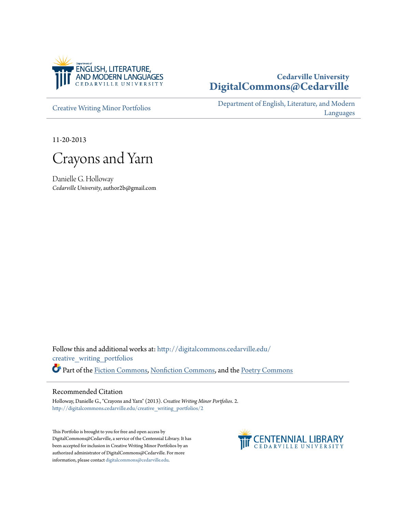

# **Cedarville University [DigitalCommons@Cedarville](http://digitalcommons.cedarville.edu?utm_source=digitalcommons.cedarville.edu%2Fcreative_writing_portfolios%2F2&utm_medium=PDF&utm_campaign=PDFCoverPages)**

[Creative Writing Minor Portfolios](http://digitalcommons.cedarville.edu/creative_writing_portfolios?utm_source=digitalcommons.cedarville.edu%2Fcreative_writing_portfolios%2F2&utm_medium=PDF&utm_campaign=PDFCoverPages)

[Department of English, Literature, and Modern](http://digitalcommons.cedarville.edu/english_literature_modern_languages?utm_source=digitalcommons.cedarville.edu%2Fcreative_writing_portfolios%2F2&utm_medium=PDF&utm_campaign=PDFCoverPages) [Languages](http://digitalcommons.cedarville.edu/english_literature_modern_languages?utm_source=digitalcommons.cedarville.edu%2Fcreative_writing_portfolios%2F2&utm_medium=PDF&utm_campaign=PDFCoverPages)

11-20-2013

Crayons and Yarn

Danielle G. Holloway *Cedarville University*, author2b@gmail.com

Follow this and additional works at: [http://digitalcommons.cedarville.edu/](http://digitalcommons.cedarville.edu/creative_writing_portfolios?utm_source=digitalcommons.cedarville.edu%2Fcreative_writing_portfolios%2F2&utm_medium=PDF&utm_campaign=PDFCoverPages) [creative\\_writing\\_portfolios](http://digitalcommons.cedarville.edu/creative_writing_portfolios?utm_source=digitalcommons.cedarville.edu%2Fcreative_writing_portfolios%2F2&utm_medium=PDF&utm_campaign=PDFCoverPages) Part of the [Fiction Commons](http://network.bepress.com/hgg/discipline/1151?utm_source=digitalcommons.cedarville.edu%2Fcreative_writing_portfolios%2F2&utm_medium=PDF&utm_campaign=PDFCoverPages), [Nonfiction Commons](http://network.bepress.com/hgg/discipline/1152?utm_source=digitalcommons.cedarville.edu%2Fcreative_writing_portfolios%2F2&utm_medium=PDF&utm_campaign=PDFCoverPages), and the [Poetry Commons](http://network.bepress.com/hgg/discipline/1153?utm_source=digitalcommons.cedarville.edu%2Fcreative_writing_portfolios%2F2&utm_medium=PDF&utm_campaign=PDFCoverPages)

#### Recommended Citation

Holloway, Danielle G., "Crayons and Yarn" (2013). *Creative Writing Minor Portfolios*. 2. [http://digitalcommons.cedarville.edu/creative\\_writing\\_portfolios/2](http://digitalcommons.cedarville.edu/creative_writing_portfolios/2?utm_source=digitalcommons.cedarville.edu%2Fcreative_writing_portfolios%2F2&utm_medium=PDF&utm_campaign=PDFCoverPages)

This Portfolio is brought to you for free and open access by DigitalCommons@Cedarville, a service of the Centennial Library. It has been accepted for inclusion in Creative Writing Minor Portfolios by an authorized administrator of DigitalCommons@Cedarville. For more information, please contact [digitalcommons@cedarville.edu.](mailto:digitalcommons@cedarville.edu)

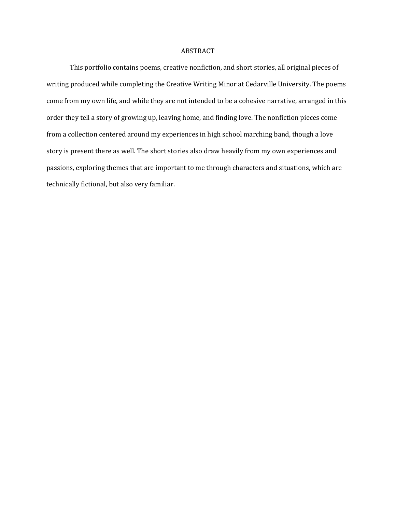#### ABSTRACT

This portfolio contains poems, creative nonfiction, and short stories, all original pieces of writing produced while completing the Creative Writing Minor at Cedarville University. The poems come from my own life, and while they are not intended to be a cohesive narrative, arranged in this order they tell a story of growing up, leaving home, and finding love. The nonfiction pieces come from a collection centered around my experiences in high school marching band, though a love story is present there as well. The short stories also draw heavily from my own experiences and passions, exploring themes that are important to me through characters and situations, which are technically fictional, but also very familiar.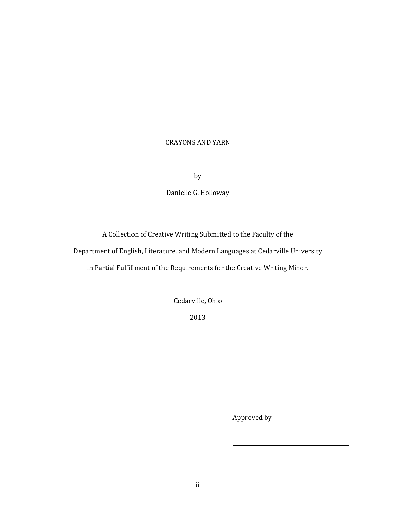# CRAYONS AND YARN

by

Danielle G. Holloway

A Collection of Creative Writing Submitted to the Faculty of the

Department of English, Literature, and Modern Languages at Cedarville University

in Partial Fulfillment of the Requirements for the Creative Writing Minor.

Cedarville, Ohio

2013

Approved by

 $\overline{a}$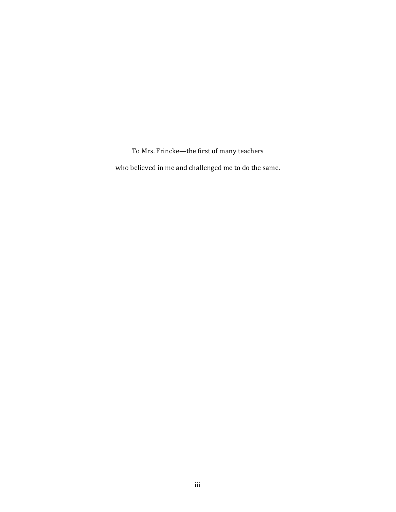To Mrs. Frincke—the first of many teachers

who believed in me and challenged me to do the same.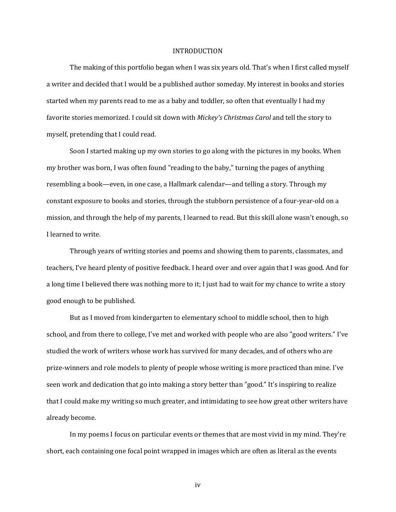#### INTRODUCTION

The making of this portfolio began when I was six years old. That's when I first called myself a writer and decided that I would be a published author someday. My interest in books and stories started when my parents read to me as a baby and toddler, so often that eventually I had my favorite stories memorized. I could sit down with Mickey's Christmas Carol and tell the story to myself, pretending that I could read.

Soon I started making up my own stories to go along with the pictures in my books. When my brother was born, I was often found "reading to the baby," turning the pages of anything resembling a book—even, in one case, a Hallmark calendar—and telling a story. Through my constant exposure to books and stories, through the stubborn persistence of a four-year-old on a mission, and through the help of my parents, I learned to read. But this skill alone wasn't enough, so I learned to write.

Through years of writing stories and poems and showing them to parents, classmates, and teachers, I've heard plenty of positive feedback. I heard over and over again that I was good. And for a long time I believed there was nothing more to it; I just had to wait for my chance to write a story good enough to be published.

But as I moved from kindergarten to elementary school to middle school, then to high school, and from there to college, I've met and worked with people who are also "good writers." I've studied the work of writers whose work has survived for many decades, and of others who are prize-winners and role models to plenty of people whose writing is more practiced than mine. I've seen work and dedication that go into making a story better than "good." It's inspiring to realize that I could make my writing so much greater, and intimidating to see how great other writers have already become.

In my poems I focus on particular events or themes that are most vivid in my mind. They're short, each containing one focal point wrapped in images which are often as literal as the events

iv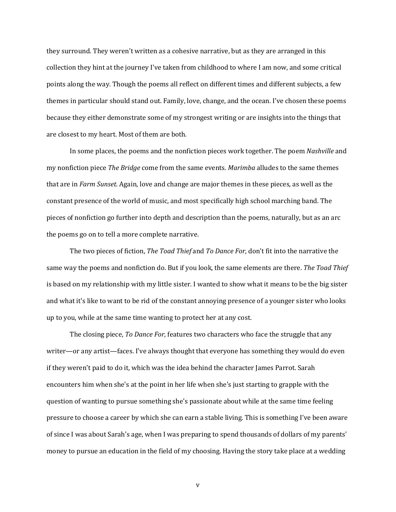they surround. They weren't written as a cohesive narrative, but as they are arranged in this collection they hint at the journey I've taken from childhood to where I am now, and some critical points along the way. Though the poems all reflect on different times and different subjects, a few themes in particular should stand out. Family, love, change, and the ocean. I've chosen these poems because they either demonstrate some of my strongest writing or are insights into the things that are closest to my heart. Most of them are both.

In some places, the poems and the nonfiction pieces work together. The poem Nashville and my nonfiction piece The Bridge come from the same events. Marimba alludes to the same themes that are in Farm Sunset. Again, love and change are major themes in these pieces, as well as the constant presence of the world of music, and most specifically high school marching band. The pieces of nonfiction go further into depth and description than the poems, naturally, but as an arc the poems go on to tell a more complete narrative.

The two pieces of fiction, *The Toad Thief* and To Dance For, don't fit into the narrative the same way the poems and nonfiction do. But if you look, the same elements are there. The Toad Thief is based on my relationship with my little sister. I wanted to show what it means to be the big sister and what it's like to want to be rid of the constant annoying presence of a younger sister who looks up to you, while at the same time wanting to protect her at any cost.

The closing piece, To Dance For, features two characters who face the struggle that any writer—or any artist—faces. I've always thought that everyone has something they would do even if they weren't paid to do it, which was the idea behind the character James Parrot. Sarah encounters him when she's at the point in her life when she's just starting to grapple with the question of wanting to pursue something she's passionate about while at the same time feeling pressure to choose a career by which she can earn a stable living. This is something I've been aware of since I was about Sarah's age, when I was preparing to spend thousands of dollars of my parents' money to pursue an education in the field of my choosing. Having the story take place at a wedding

v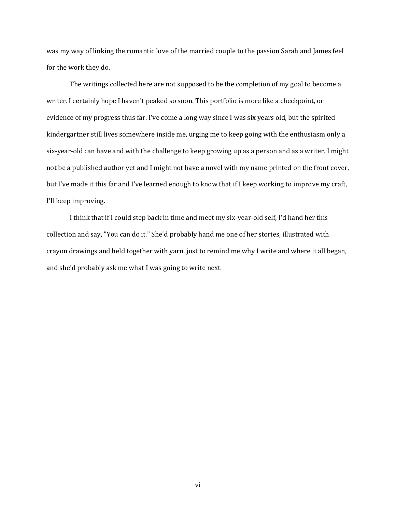was my way of linking the romantic love of the married couple to the passion Sarah and James feel for the work they do.

The writings collected here are not supposed to be the completion of my goal to become a writer. I certainly hope I haven't peaked so soon. This portfolio is more like a checkpoint, or evidence of my progress thus far. I've come a long way since I was six years old, but the spirited kindergartner still lives somewhere inside me, urging me to keep going with the enthusiasm only a six-year-old can have and with the challenge to keep growing up as a person and as a writer. I might not be a published author yet and I might not have a novel with my name printed on the front cover, but I've made it this far and I've learned enough to know that if I keep working to improve my craft, I'll keep improving.

I think that if I could step back in time and meet my six-year-old self, I'd hand her this collection and say, "You can do it." She'd probably hand me one of her stories, illustrated with crayon drawings and held together with yarn, just to remind me why I write and where it all began, and she'd probably ask me what I was going to write next.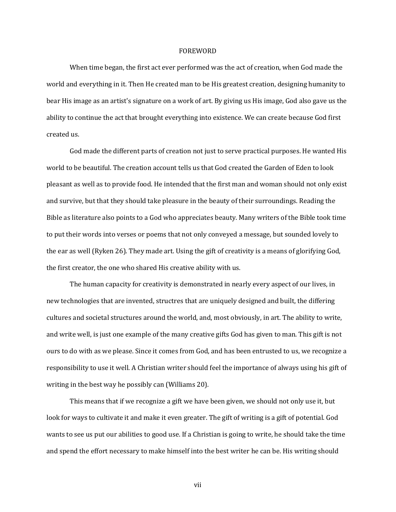#### FOREWORD

When time began, the first act ever performed was the act of creation, when God made the world and everything in it. Then He created man to be His greatest creation, designing humanity to bear His image as an artist's signature on a work of art. By giving us His image, God also gave us the ability to continue the act that brought everything into existence. We can create because God first created us.

God made the different parts of creation not just to serve practical purposes. He wanted His world to be beautiful. The creation account tells us that God created the Garden of Eden to look pleasant as well as to provide food. He intended that the first man and woman should not only exist and survive, but that they should take pleasure in the beauty of their surroundings. Reading the Bible as literature also points to a God who appreciates beauty. Many writers of the Bible took time to put their words into verses or poems that not only conveyed a message, but sounded lovely to the ear as well (Ryken 26). They made art. Using the gift of creativity is a means of glorifying God, the first creator, the one who shared His creative ability with us.

The human capacity for creativity is demonstrated in nearly every aspect of our lives, in new technologies that are invented, structres that are uniquely designed and built, the differing cultures and societal structures around the world, and, most obviously, in art. The ability to write, and write well, is just one example of the many creative gifts God has given to man. This gift is not ours to do with as we please. Since it comes from God, and has been entrusted to us, we recognize a responsibility to use it well. A Christian writer should feel the importance of always using his gift of writing in the best way he possibly can (Williams 20).

This means that if we recognize a gift we have been given, we should not only use it, but look for ways to cultivate it and make it even greater. The gift of writing is a gift of potential. God wants to see us put our abilities to good use. If a Christian is going to write, he should take the time and spend the effort necessary to make himself into the best writer he can be. His writing should

vii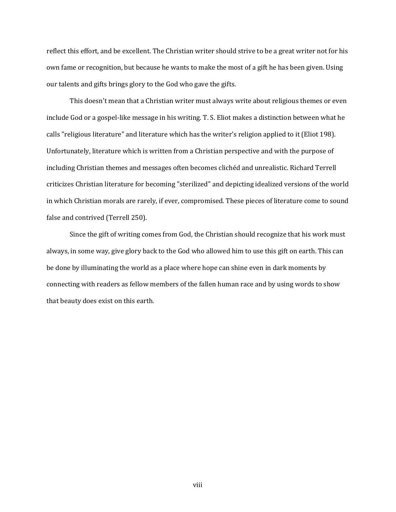reflect this effort, and be excellent. The Christian writer should strive to be a great writer not for his own fame or recognition, but because he wants to make the most of a gift he has been given. Using our talents and gifts brings glory to the God who gave the gifts.

This doesn't mean that a Christian writer must always write about religious themes or even include God or a gospel-like message in his writing. T. S. Eliot makes a distinction between what he calls "religious literature" and literature which has the writer's religion applied to it (Eliot 198). Unfortunately, literature which is written from a Christian perspective and with the purpose of including Christian themes and messages often becomes clichéd and unrealistic. Richard Terrell criticizes Christian literature for becoming "sterilized" and depicting idealized versions of the world in which Christian morals are rarely, if ever, compromised. These pieces of literature come to sound false and contrived (Terrell 250).

Since the gift of writing comes from God, the Christian should recognize that his work must always, in some way, give glory back to the God who allowed him to use this gift on earth. This can be done by illuminating the world as a place where hope can shine even in dark moments by connecting with readers as fellow members of the fallen human race and by using words to show that beauty does exist on this earth.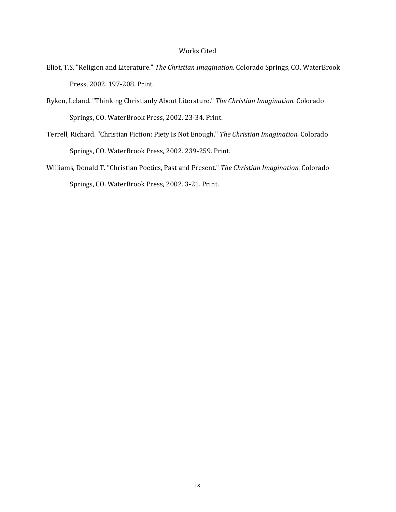### Works Cited

- Eliot, T.S. "Religion and Literature." The Christian Imagination. Colorado Springs, CO. WaterBrook Press, 2002. 197-208. Print.
- Ryken, Leland. "Thinking Christianly About Literature." The Christian Imagination. Colorado Springs, CO. WaterBrook Press, 2002. 23-34. Print.
- Terrell, Richard. "Christian Fiction: Piety Is Not Enough." The Christian Imagination. Colorado Springs, CO. WaterBrook Press, 2002. 239-259. Print.
- Williams, Donald T. "Christian Poetics, Past and Present." The Christian Imagination. Colorado Springs, CO. WaterBrook Press, 2002. 3-21. Print.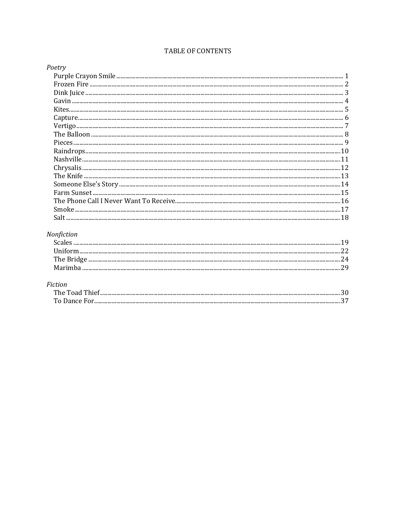# TABLE OF CONTENTS

| Poetry |  |
|--------|--|
|        |  |
|        |  |
|        |  |
|        |  |
|        |  |
|        |  |
|        |  |
|        |  |
|        |  |
|        |  |
|        |  |
|        |  |
|        |  |
|        |  |
|        |  |
|        |  |
|        |  |
|        |  |

# Nonfiction

# Fiction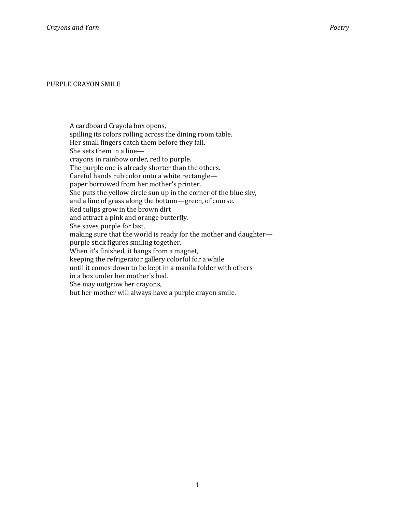#### PURPLE CRAYON SMILE

A cardboard Crayola box opens, spilling its colors rolling across the dining room table. Her small fingers catch them before they fall. She sets them in a line crayons in rainbow order, red to purple. The purple one is already shorter than the others. Careful hands rub color onto a white rectangle paper borrowed from her mother's printer. She puts the yellow circle sun up in the corner of the blue sky, and a line of grass along the bottom—green, of course. Red tulips grow in the brown dirt and attract a pink and orange butterfly. She saves purple for last, making sure that the world is ready for the mother and daughter purple stick figures smiling together. When it's finished, it hangs from a magnet, keeping the refrigerator gallery colorful for a while until it comes down to be kept in a manila folder with others in a box under her mother's bed. She may outgrow her crayons, but her mother will always have a purple crayon smile.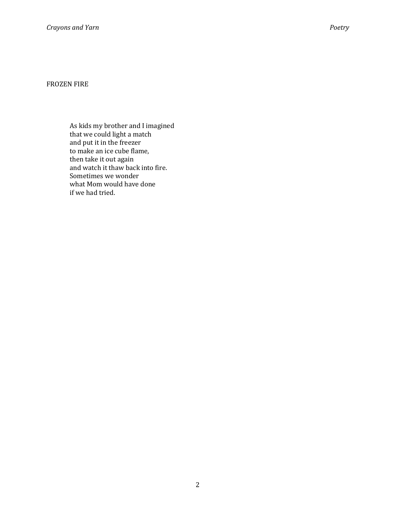# FROZEN FIRE

As kids my brother and I imagined that we could light a match and put it in the freezer to make an ice cube flame, then take it out again and watch it thaw back into fire. Sometimes we wonder what Mom would have done if we had tried.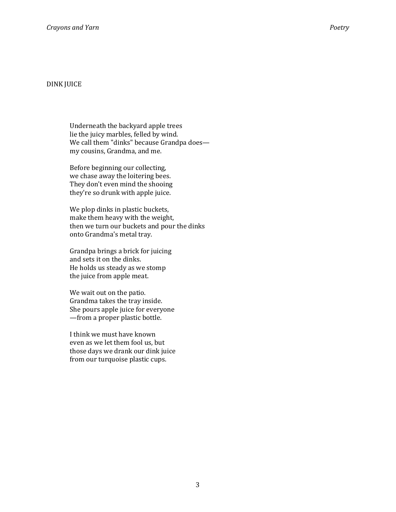### DINK JUICE

Underneath the backyard apple trees lie the juicy marbles, felled by wind. We call them "dinks" because Grandpa does my cousins, Grandma, and me.

Before beginning our collecting, we chase away the loitering bees. They don't even mind the shooing they're so drunk with apple juice.

We plop dinks in plastic buckets, make them heavy with the weight, then we turn our buckets and pour the dinks onto Grandma's metal tray.

Grandpa brings a brick for juicing and sets it on the dinks. He holds us steady as we stomp the juice from apple meat.

We wait out on the patio. Grandma takes the tray inside. She pours apple juice for everyone —from a proper plastic bottle.

I think we must have known even as we let them fool us, but those days we drank our dink juice from our turquoise plastic cups.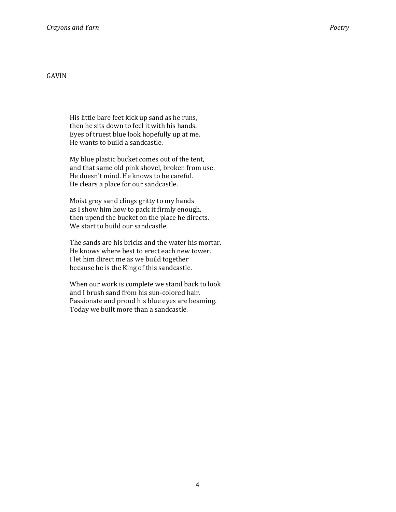# GAVIN

His little bare feet kick up sand as he runs, then he sits down to feel it with his hands. Eyes of truest blue look hopefully up at me. He wants to build a sandcastle.

My blue plastic bucket comes out of the tent, and that same old pink shovel, broken from use. He doesn't mind. He knows to be careful. He clears a place for our sandcastle.

Moist grey sand clings gritty to my hands as I show him how to pack it firmly enough, then upend the bucket on the place he directs. We start to build our sandcastle.

The sands are his bricks and the water his mortar. He knows where best to erect each new tower. I let him direct me as we build together because he is the King of this sandcastle.

When our work is complete we stand back to look and I brush sand from his sun-colored hair. Passionate and proud his blue eyes are beaming. Today we built more than a sandcastle.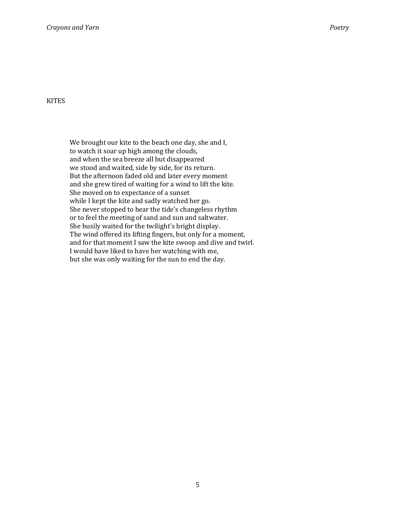#### **KITES**

We brought our kite to the beach one day, she and I, to watch it soar up high among the clouds, and when the sea breeze all but disappeared we stood and waited, side by side, for its return. But the afternoon faded old and later every moment and she grew tired of waiting for a wind to lift the kite. She moved on to expectance of a sunset while I kept the kite and sadly watched her go. She never stopped to hear the tide's changeless rhythm or to feel the meeting of sand and sun and saltwater. She busily waited for the twilight's bright display. The wind offered its lifting fingers, but only for a moment, and for that moment I saw the kite swoop and dive and twirl. I would have liked to have her watching with me, but she was only waiting for the sun to end the day.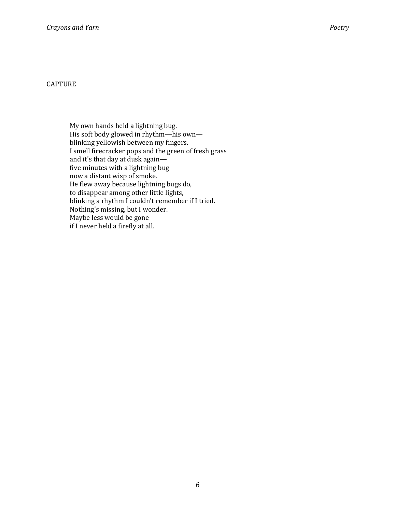### CAPTURE

My own hands held a lightning bug. His soft body glowed in rhythm—his own blinking yellowish between my fingers. I smell firecracker pops and the green of fresh grass and it's that day at dusk again five minutes with a lightning bug now a distant wisp of smoke. He flew away because lightning bugs do, to disappear among other little lights, blinking a rhythm I couldn't remember if I tried. Nothing's missing, but I wonder. Maybe less would be gone if I never held a firefly at all.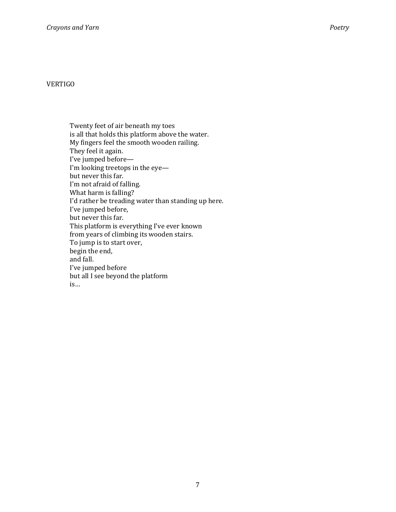# VERTIGO

Twenty feet of air beneath my toes is all that holds this platform above the water. My fingers feel the smooth wooden railing. They feel it again. I've jumped before— I'm looking treetops in the eye but never this far. I'm not afraid of falling. What harm is falling? I'd rather be treading water than standing up here. I've jumped before, but never this far. This platform is everything I've ever known from years of climbing its wooden stairs. To jump is to start over, begin the end, and fall. I've jumped before but all I see beyond the platform is…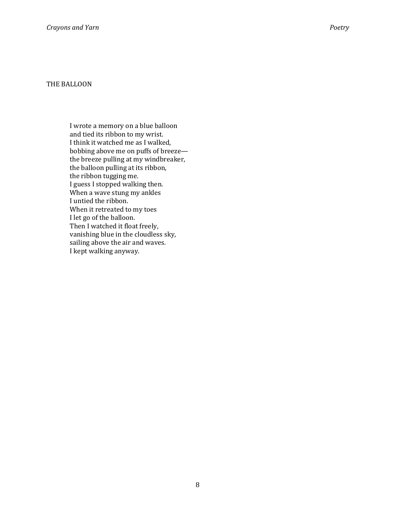#### THE BALLOON

I wrote a memory on a blue balloon and tied its ribbon to my wrist. I think it watched me as I walked, bobbing above me on puffs of breeze the breeze pulling at my windbreaker, the balloon pulling at its ribbon, the ribbon tugging me. I guess I stopped walking then. When a wave stung my ankles I untied the ribbon. When it retreated to my toes I let go of the balloon. Then I watched it float freely, vanishing blue in the cloudless sky, sailing above the air and waves. I kept walking anyway.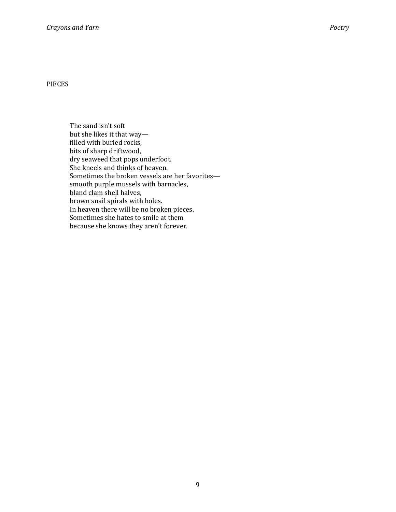PIECES

The sand isn't soft but she likes it that way filled with buried rocks, bits of sharp driftwood, dry seaweed that pops underfoot. She kneels and thinks of heaven. Sometimes the broken vessels are her favorites smooth purple mussels with barnacles, bland clam shell halves, brown snail spirals with holes. In heaven there will be no broken pieces. Sometimes she hates to smile at them because she knows they aren't forever.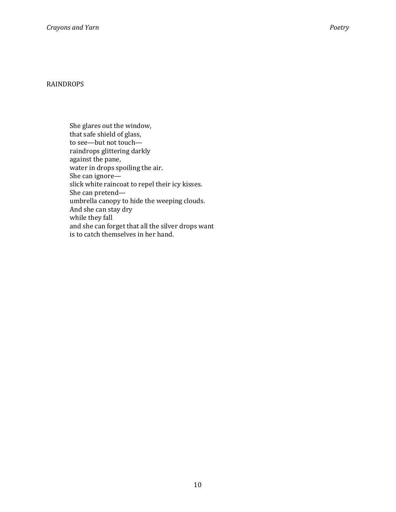### RAINDROPS

She glares out the window, that safe shield of glass, to see—but not touch raindrops glittering darkly against the pane, water in drops spoiling the air. She can ignore slick white raincoat to repel their icy kisses. She can pretend umbrella canopy to hide the weeping clouds. And she can stay dry while they fall and she can forget that all the silver drops want is to catch themselves in her hand.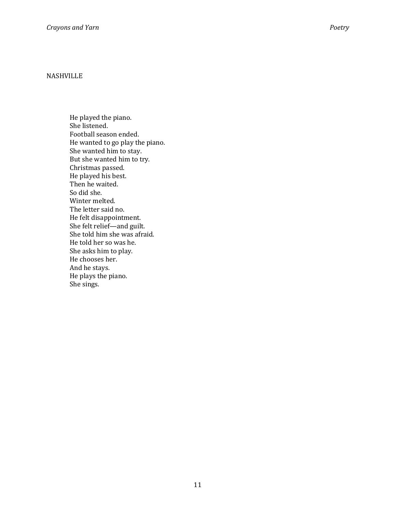# NASHVILLE

He played the piano. She listened. Football season ended. He wanted to go play the piano. She wanted him to stay. But she wanted him to try. Christmas passed. He played his best. Then he waited. So did she. Winter melted. The letter said no. He felt disappointment. She felt relief—and guilt. She told him she was afraid. He told her so was he. She asks him to play. He chooses her. And he stays. He plays the piano. She sings.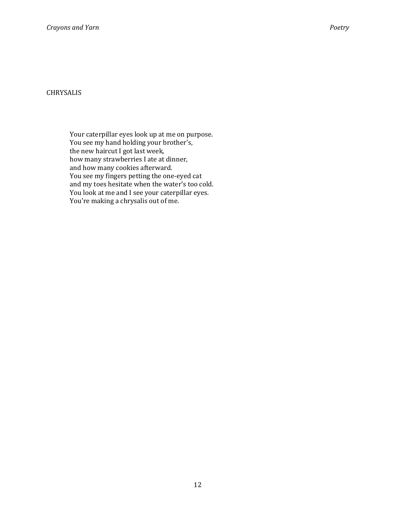# CHRYSALIS

Your caterpillar eyes look up at me on purpose. You see my hand holding your brother's, the new haircut I got last week, how many strawberries I ate at dinner, and how many cookies afterward. You see my fingers petting the one-eyed cat and my toes hesitate when the water's too cold. You look at me and I see your caterpillar eyes. You're making a chrysalis out of me.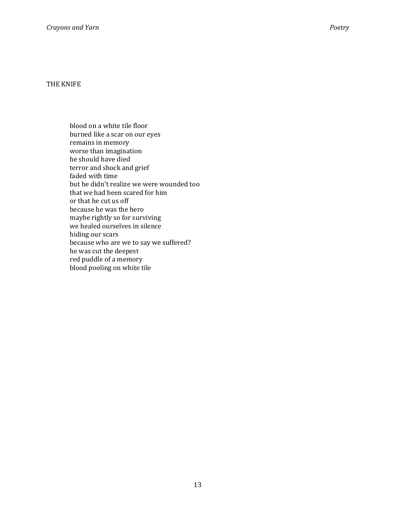blood on a white tile floor burned like a scar on our eyes remains in memory worse than imagination he should have died terror and shock and grief faded with time but he didn't realize we were wounded too that we had been scared for him or that he cut us off because he was the hero maybe rightly so for surviving we healed ourselves in silence hiding our scars because who are we to say we suffered? he was cut the deepest red puddle of a memory blood pooling on white tile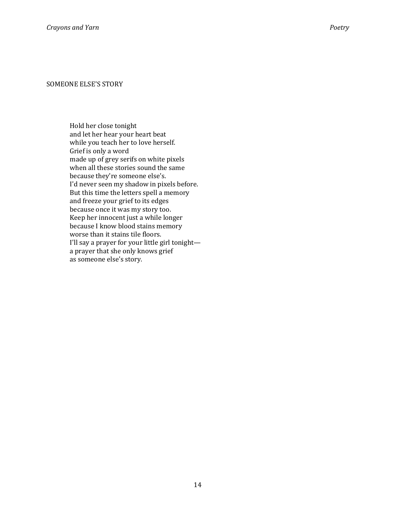Hold her close tonight and let her hear your heart beat while you teach her to love herself. Grief is only a word made up of grey serifs on white pixels when all these stories sound the same because they're someone else's. I'd never seen my shadow in pixels before. But this time the letters spell a memory and freeze your grief to its edges because once it was my story too. Keep her innocent just a while longer because I know blood stains memory worse than it stains tile floors. I'll say a prayer for your little girl tonight a prayer that she only knows grief as someone else's story.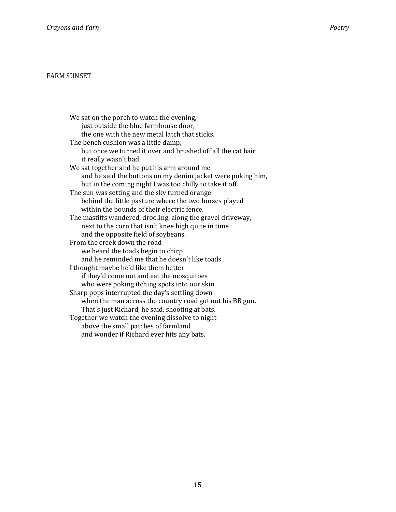### FARM SUNSET

We sat on the porch to watch the evening, just outside the blue farmhouse door, the one with the new metal latch that sticks. The bench cushion was a little damp, but once we turned it over and brushed off all the cat hair it really wasn't bad. We sat together and he put his arm around me and he said the buttons on my denim jacket were poking him, but in the coming night I was too chilly to take it off. The sun was setting and the sky turned orange behind the little pasture where the two horses played within the bounds of their electric fence. The mastiffs wandered, drooling, along the gravel driveway, next to the corn that isn't knee high quite in time and the opposite field of soybeans. From the creek down the road we heard the toads begin to chirp and he reminded me that he doesn't like toads. I thought maybe he'd like them better if they'd come out and eat the mosquitoes who were poking itching spots into our skin. Sharp pops interrupted the day's settling down when the man across the country road got out his BB gun. That's just Richard, he said, shooting at bats. Together we watch the evening dissolve to night above the small patches of farmland and wonder if Richard ever hits any bats.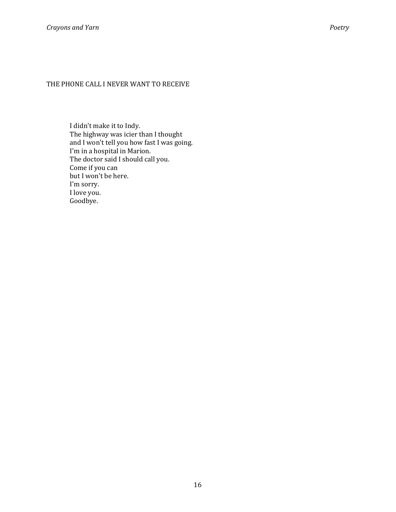# THE PHONE CALL I NEVER WANT TO RECEIVE

I didn't make it to Indy. The highway was icier than I thought and I won't tell you how fast I was going. I'm in a hospital in Marion. The doctor said I should call you. Come if you can but I won't be here. I'm sorry. I love you. Goodbye.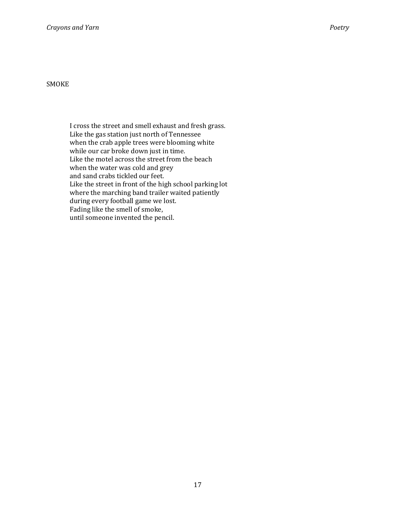I cross the street and smell exhaust and fresh grass. Like the gas station just north of Tennessee when the crab apple trees were blooming white while our car broke down just in time. Like the motel across the street from the beach when the water was cold and grey and sand crabs tickled our feet. Like the street in front of the high school parking lot where the marching band trailer waited patiently during every football game we lost. Fading like the smell of smoke, until someone invented the pencil.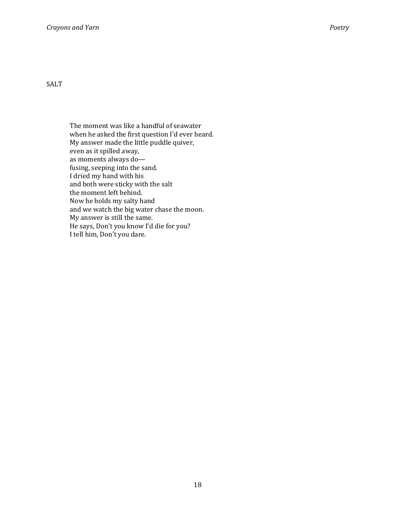SALT

The moment was like a handful of seawater when he asked the first question I'd ever heard. My answer made the little puddle quiver, even as it spilled away, as moments always do fusing, seeping into the sand. I dried my hand with his and both were sticky with the salt the moment left behind. Now he holds my salty hand and we watch the big water chase the moon. My answer is still the same. He says, Don't you know I'd die for you? I tell him, Don't you dare.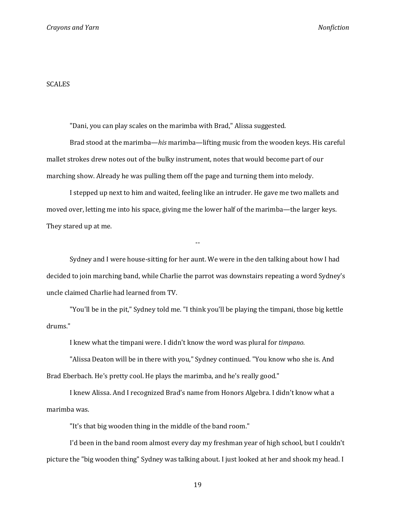#### SCALES

"Dani, you can play scales on the marimba with Brad," Alissa suggested.

Brad stood at the marimba—his marimba—lifting music from the wooden keys. His careful mallet strokes drew notes out of the bulky instrument, notes that would become part of our marching show. Already he was pulling them off the page and turning them into melody.

I stepped up next to him and waited, feeling like an intruder. He gave me two mallets and moved over, letting me into his space, giving me the lower half of the marimba—the larger keys. They stared up at me.

Sydney and I were house-sitting for her aunt. We were in the den talking about how I had decided to join marching band, while Charlie the parrot was downstairs repeating a word Sydney's uncle claimed Charlie had learned from TV.

--

"You'll be in the pit," Sydney told me. "I think you'll be playing the timpani, those big kettle drums."

I knew what the timpani were. I didn't know the word was plural for timpano.

"Alissa Deaton will be in there with you," Sydney continued. "You know who she is. And Brad Eberbach. He's pretty cool. He plays the marimba, and he's really good."

I knew Alissa. And I recognized Brad's name from Honors Algebra. I didn't know what a marimba was.

"It's that big wooden thing in the middle of the band room."

I'd been in the band room almost every day my freshman year of high school, but I couldn't picture the "big wooden thing" Sydney was talking about. I just looked at her and shook my head. I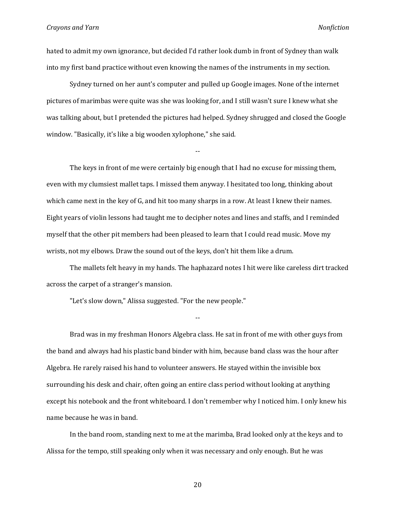hated to admit my own ignorance, but decided I'd rather look dumb in front of Sydney than walk into my first band practice without even knowing the names of the instruments in my section.

Sydney turned on her aunt's computer and pulled up Google images. None of the internet pictures of marimbas were quite was she was looking for, and I still wasn't sure I knew what she was talking about, but I pretended the pictures had helped. Sydney shrugged and closed the Google window. "Basically, it's like a big wooden xylophone," she said.

--

The keys in front of me were certainly big enough that I had no excuse for missing them, even with my clumsiest mallet taps. I missed them anyway. I hesitated too long, thinking about which came next in the key of G, and hit too many sharps in a row. At least I knew their names. Eight years of violin lessons had taught me to decipher notes and lines and staffs, and I reminded myself that the other pit members had been pleased to learn that I could read music. Move my wrists, not my elbows. Draw the sound out of the keys, don't hit them like a drum.

The mallets felt heavy in my hands. The haphazard notes I hit were like careless dirt tracked across the carpet of a stranger's mansion.

--

"Let's slow down," Alissa suggested. "For the new people."

Brad was in my freshman Honors Algebra class. He sat in front of me with other guys from the band and always had his plastic band binder with him, because band class was the hour after Algebra. He rarely raised his hand to volunteer answers. He stayed within the invisible box surrounding his desk and chair, often going an entire class period without looking at anything except his notebook and the front whiteboard. I don't remember why I noticed him. I only knew his name because he was in band.

In the band room, standing next to me at the marimba, Brad looked only at the keys and to Alissa for the tempo, still speaking only when it was necessary and only enough. But he was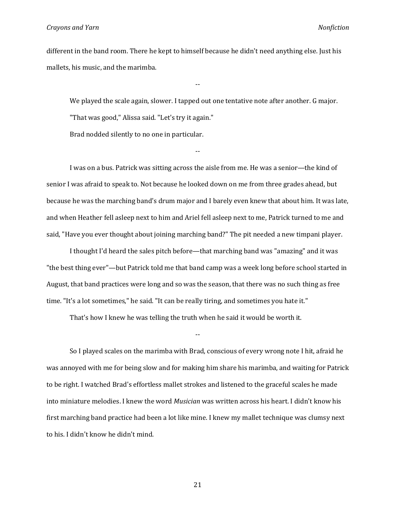different in the band room. There he kept to himself because he didn't need anything else. Just his mallets, his music, and the marimba.

--

We played the scale again, slower. I tapped out one tentative note after another. G major. "That was good," Alissa said. "Let's try it again."

Brad nodded silently to no one in particular.

I was on a bus. Patrick was sitting across the aisle from me. He was a senior—the kind of senior I was afraid to speak to. Not because he looked down on me from three grades ahead, but because he was the marching band's drum major and I barely even knew that about him. It was late, and when Heather fell asleep next to him and Ariel fell asleep next to me, Patrick turned to me and said, "Have you ever thought about joining marching band?" The pit needed a new timpani player.

--

I thought I'd heard the sales pitch before—that marching band was "amazing" and it was "the best thing ever"—but Patrick told me that band camp was a week long before school started in August, that band practices were long and so was the season, that there was no such thing as free time. "It's a lot sometimes," he said. "It can be really tiring, and sometimes you hate it."

That's how I knew he was telling the truth when he said it would be worth it.

So I played scales on the marimba with Brad, conscious of every wrong note I hit, afraid he was annoyed with me for being slow and for making him share his marimba, and waiting for Patrick to be right. I watched Brad's effortless mallet strokes and listened to the graceful scales he made into miniature melodies. I knew the word Musician was written across his heart. I didn't know his first marching band practice had been a lot like mine. I knew my mallet technique was clumsy next to his. I didn't know he didn't mind.

--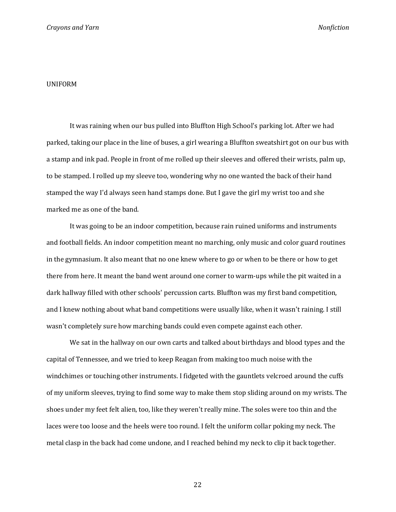#### UNIFORM

It was raining when our bus pulled into Bluffton High School's parking lot. After we had parked, taking our place in the line of buses, a girl wearing a Bluffton sweatshirt got on our bus with a stamp and ink pad. People in front of me rolled up their sleeves and offered their wrists, palm up, to be stamped. I rolled up my sleeve too, wondering why no one wanted the back of their hand stamped the way I'd always seen hand stamps done. But I gave the girl my wrist too and she marked me as one of the band.

It was going to be an indoor competition, because rain ruined uniforms and instruments and football fields. An indoor competition meant no marching, only music and color guard routines in the gymnasium. It also meant that no one knew where to go or when to be there or how to get there from here. It meant the band went around one corner to warm-ups while the pit waited in a dark hallway filled with other schools' percussion carts. Bluffton was my first band competition, and I knew nothing about what band competitions were usually like, when it wasn't raining. I still wasn't completely sure how marching bands could even compete against each other.

We sat in the hallway on our own carts and talked about birthdays and blood types and the capital of Tennessee, and we tried to keep Reagan from making too much noise with the windchimes or touching other instruments. I fidgeted with the gauntlets velcroed around the cuffs of my uniform sleeves, trying to find some way to make them stop sliding around on my wrists. The shoes under my feet felt alien, too, like they weren't really mine. The soles were too thin and the laces were too loose and the heels were too round. I felt the uniform collar poking my neck. The metal clasp in the back had come undone, and I reached behind my neck to clip it back together.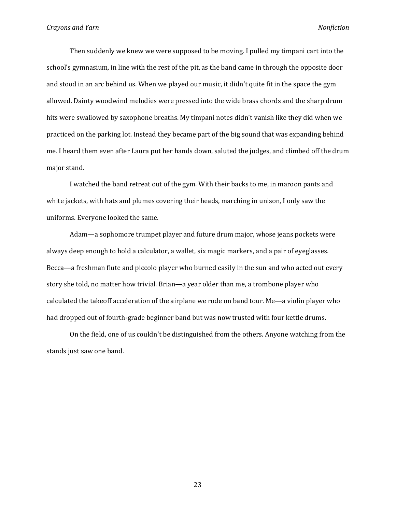Then suddenly we knew we were supposed to be moving. I pulled my timpani cart into the school's gymnasium, in line with the rest of the pit, as the band came in through the opposite door and stood in an arc behind us. When we played our music, it didn't quite fit in the space the gym allowed. Dainty woodwind melodies were pressed into the wide brass chords and the sharp drum hits were swallowed by saxophone breaths. My timpani notes didn't vanish like they did when we practiced on the parking lot. Instead they became part of the big sound that was expanding behind me. I heard them even after Laura put her hands down, saluted the judges, and climbed off the drum major stand.

I watched the band retreat out of the gym. With their backs to me, in maroon pants and white jackets, with hats and plumes covering their heads, marching in unison, I only saw the uniforms. Everyone looked the same.

Adam—a sophomore trumpet player and future drum major, whose jeans pockets were always deep enough to hold a calculator, a wallet, six magic markers, and a pair of eyeglasses. Becca—a freshman flute and piccolo player who burned easily in the sun and who acted out every story she told, no matter how trivial. Brian—a year older than me, a trombone player who calculated the takeoff acceleration of the airplane we rode on band tour. Me—a violin player who had dropped out of fourth-grade beginner band but was now trusted with four kettle drums.

On the field, one of us couldn't be distinguished from the others. Anyone watching from the stands just saw one band.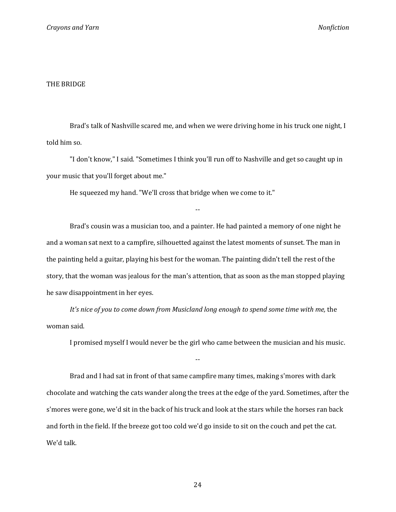#### THE BRIDGE

Brad's talk of Nashville scared me, and when we were driving home in his truck one night, I told him so.

"I don't know," I said. "Sometimes I think you'll run off to Nashville and get so caught up in your music that you'll forget about me."

--

He squeezed my hand. "We'll cross that bridge when we come to it."

Brad's cousin was a musician too, and a painter. He had painted a memory of one night he and a woman sat next to a campfire, silhouetted against the latest moments of sunset. The man in the painting held a guitar, playing his best for the woman. The painting didn't tell the rest of the story, that the woman was jealous for the man's attention, that as soon as the man stopped playing he saw disappointment in her eyes.

It's nice of you to come down from Musicland long enough to spend some time with me, the woman said.

I promised myself I would never be the girl who came between the musician and his music.

Brad and I had sat in front of that same campfire many times, making s'mores with dark chocolate and watching the cats wander along the trees at the edge of the yard. Sometimes, after the s'mores were gone, we'd sit in the back of his truck and look at the stars while the horses ran back and forth in the field. If the breeze got too cold we'd go inside to sit on the couch and pet the cat. We'd talk.

--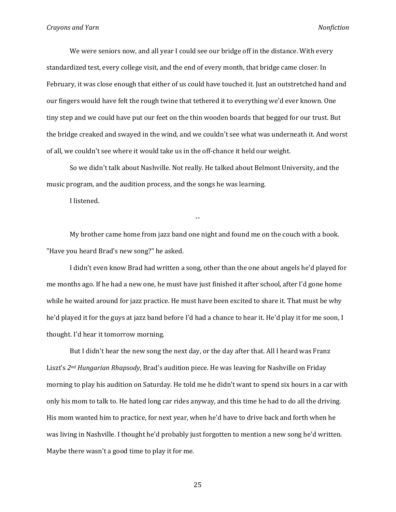We were seniors now, and all year I could see our bridge off in the distance. With every standardized test, every college visit, and the end of every month, that bridge came closer. In February, it was close enough that either of us could have touched it. Just an outstretched hand and our fingers would have felt the rough twine that tethered it to everything we'd ever known. One tiny step and we could have put our feet on the thin wooden boards that begged for our trust. But the bridge creaked and swayed in the wind, and we couldn't see what was underneath it. And worst of all, we couldn't see where it would take us in the off-chance it held our weight.

So we didn't talk about Nashville. Not really. He talked about Belmont University, and the music program, and the audition process, and the songs he was learning.

I listened.

My brother came home from jazz band one night and found me on the couch with a book. "Have you heard Brad's new song?" he asked.

--

I didn't even know Brad had written a song, other than the one about angels he'd played for me months ago. If he had a new one, he must have just finished it after school, after I'd gone home while he waited around for jazz practice. He must have been excited to share it. That must be why he'd played it for the guys at jazz band before I'd had a chance to hear it. He'd play it for me soon, I thought. I'd hear it tomorrow morning.

But I didn't hear the new song the next day, or the day after that. All I heard was Franz Liszt's 2<sup>nd</sup> Hungarian Rhapsody, Brad's audition piece. He was leaving for Nashville on Friday morning to play his audition on Saturday. He told me he didn't want to spend six hours in a car with only his mom to talk to. He hated long car rides anyway, and this time he had to do all the driving. His mom wanted him to practice, for next year, when he'd have to drive back and forth when he was living in Nashville. I thought he'd probably just forgotten to mention a new song he'd written. Maybe there wasn't a good time to play it for me.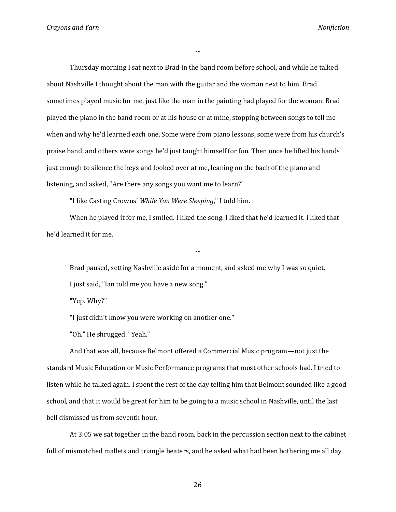--

Thursday morning I sat next to Brad in the band room before school, and while he talked about Nashville I thought about the man with the guitar and the woman next to him. Brad sometimes played music for me, just like the man in the painting had played for the woman. Brad played the piano in the band room or at his house or at mine, stopping between songs to tell me when and why he'd learned each one. Some were from piano lessons, some were from his church's praise band, and others were songs he'd just taught himself for fun. Then once he lifted his hands just enough to silence the keys and looked over at me, leaning on the back of the piano and listening, and asked, "Are there any songs you want me to learn?"

"I like Casting Crowns' While You Were Sleeping," I told him.

When he played it for me, I smiled. I liked the song. I liked that he'd learned it. I liked that he'd learned it for me.

Brad paused, setting Nashville aside for a moment, and asked me why I was so quiet. I just said, "Ian told me you have a new song."

--

"Yep. Why?"

"I just didn't know you were working on another one."

"Oh." He shrugged. "Yeah."

And that was all, because Belmont offered a Commercial Music program—not just the standard Music Education or Music Performance programs that most other schools had. I tried to listen while he talked again. I spent the rest of the day telling him that Belmont sounded like a good school, and that it would be great for him to be going to a music school in Nashville, until the last bell dismissed us from seventh hour.

At 3:05 we sat together in the band room, back in the percussion section next to the cabinet full of mismatched mallets and triangle beaters, and he asked what had been bothering me all day.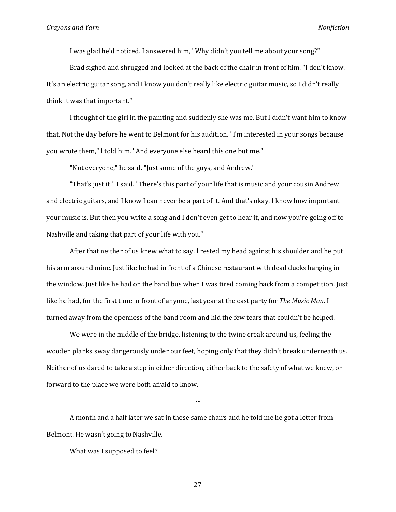I was glad he'd noticed. I answered him, "Why didn't you tell me about your song?"

Brad sighed and shrugged and looked at the back of the chair in front of him. "I don't know. It's an electric guitar song, and I know you don't really like electric guitar music, so I didn't really think it was that important."

I thought of the girl in the painting and suddenly she was me. But I didn't want him to know that. Not the day before he went to Belmont for his audition. "I'm interested in your songs because you wrote them," I told him. "And everyone else heard this one but me."

"Not everyone," he said. "Just some of the guys, and Andrew."

"That's just it!" I said. "There's this part of your life that is music and your cousin Andrew and electric guitars, and I know I can never be a part of it. And that's okay. I know how important your music is. But then you write a song and I don't even get to hear it, and now you're going off to Nashville and taking that part of your life with you."

After that neither of us knew what to say. I rested my head against his shoulder and he put his arm around mine. Just like he had in front of a Chinese restaurant with dead ducks hanging in the window. Just like he had on the band bus when I was tired coming back from a competition. Just like he had, for the first time in front of anyone, last year at the cast party for The Music Man. I turned away from the openness of the band room and hid the few tears that couldn't be helped.

We were in the middle of the bridge, listening to the twine creak around us, feeling the wooden planks sway dangerously under our feet, hoping only that they didn't break underneath us. Neither of us dared to take a step in either direction, either back to the safety of what we knew, or forward to the place we were both afraid to know.

--

A month and a half later we sat in those same chairs and he told me he got a letter from Belmont. He wasn't going to Nashville.

What was I supposed to feel?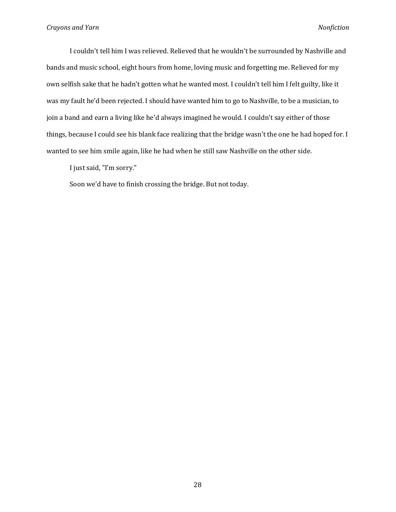I couldn't tell him I was relieved. Relieved that he wouldn't be surrounded by Nashville and bands and music school, eight hours from home, loving music and forgetting me. Relieved for my own selfish sake that he hadn't gotten what he wanted most. I couldn't tell him I felt guilty, like it was my fault he'd been rejected. I should have wanted him to go to Nashville, to be a musician, to join a band and earn a living like he'd always imagined he would. I couldn't say either of those things, because I could see his blank face realizing that the bridge wasn't the one he had hoped for. I wanted to see him smile again, like he had when he still saw Nashville on the other side.

I just said, "I'm sorry."

Soon we'd have to finish crossing the bridge. But not today.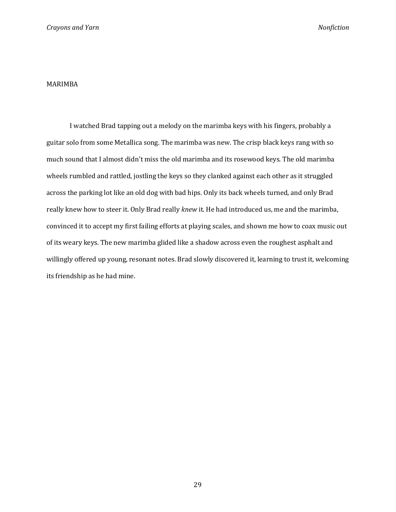#### MARIMBA

I watched Brad tapping out a melody on the marimba keys with his fingers, probably a guitar solo from some Metallica song. The marimba was new. The crisp black keys rang with so much sound that I almost didn't miss the old marimba and its rosewood keys. The old marimba wheels rumbled and rattled, jostling the keys so they clanked against each other as it struggled across the parking lot like an old dog with bad hips. Only its back wheels turned, and only Brad really knew how to steer it. Only Brad really knew it. He had introduced us, me and the marimba, convinced it to accept my first failing efforts at playing scales, and shown me how to coax music out of its weary keys. The new marimba glided like a shadow across even the roughest asphalt and willingly offered up young, resonant notes. Brad slowly discovered it, learning to trust it, welcoming its friendship as he had mine.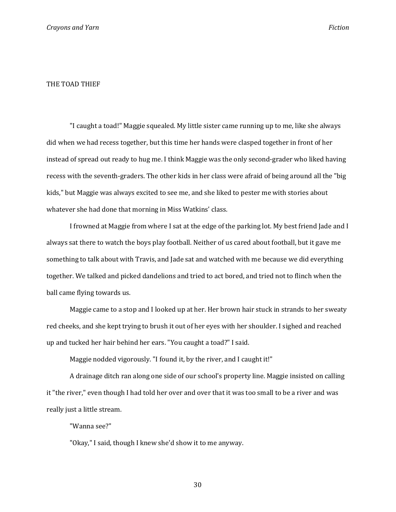#### THE TOAD THIEF

"I caught a toad!" Maggie squealed. My little sister came running up to me, like she always did when we had recess together, but this time her hands were clasped together in front of her instead of spread out ready to hug me. I think Maggie was the only second-grader who liked having recess with the seventh-graders. The other kids in her class were afraid of being around all the "big kids," but Maggie was always excited to see me, and she liked to pester me with stories about whatever she had done that morning in Miss Watkins' class.

I frowned at Maggie from where I sat at the edge of the parking lot. My best friend Jade and I always sat there to watch the boys play football. Neither of us cared about football, but it gave me something to talk about with Travis, and Jade sat and watched with me because we did everything together. We talked and picked dandelions and tried to act bored, and tried not to flinch when the ball came flying towards us.

Maggie came to a stop and I looked up at her. Her brown hair stuck in strands to her sweaty red cheeks, and she kept trying to brush it out of her eyes with her shoulder. I sighed and reached up and tucked her hair behind her ears. "You caught a toad?" I said.

Maggie nodded vigorously. "I found it, by the river, and I caught it!"

A drainage ditch ran along one side of our school's property line. Maggie insisted on calling it "the river," even though I had told her over and over that it was too small to be a river and was really just a little stream.

#### "Wanna see?"

"Okay," I said, though I knew she'd show it to me anyway.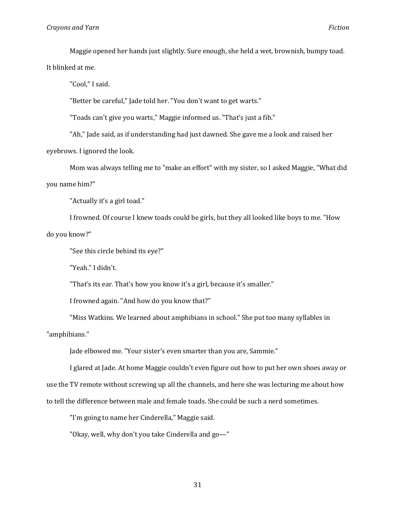Maggie opened her hands just slightly. Sure enough, she held a wet, brownish, bumpy toad.

It blinked at me.

"Cool," I said.

"Better be careful," Jade told her. "You don't want to get warts."

"Toads can't give you warts," Maggie informed us. "That's just a fib."

"Ah," Jade said, as if understanding had just dawned. She gave me a look and raised her eyebrows. I ignored the look.

Mom was always telling me to "make an effort" with my sister, so I asked Maggie, "What did you name him?"

"Actually it's a girl toad."

I frowned. Of course I knew toads could be girls, but they all looked like boys to me. "How do you know?"

"See this circle behind its eye?"

"Yeah." I didn't.

"That's its ear. That's how you know it's a girl, because it's smaller."

I frowned again. "And how do you know that?"

"Miss Watkins. We learned about amphibians in school." She put too many syllables in

"amphibians."

Jade elbowed me. "Your sister's even smarter than you are, Sammie."

I glared at Jade. At home Maggie couldn't even figure out how to put her own shoes away or use the TV remote without screwing up all the channels, and here she was lecturing me about how to tell the difference between male and female toads. She could be such a nerd sometimes.

"I'm going to name her Cinderella," Maggie said.

"Okay, well, why don't you take Cinderella and go—"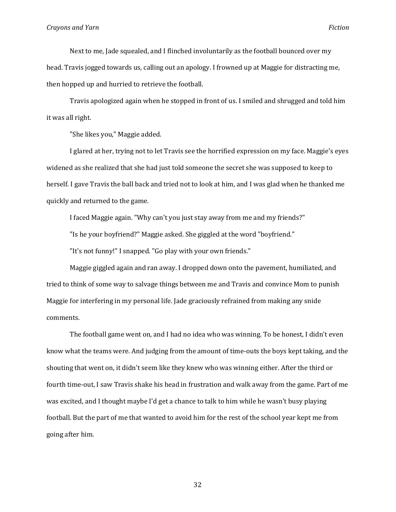Next to me, Jade squealed, and I flinched involuntarily as the football bounced over my head. Travis jogged towards us, calling out an apology. I frowned up at Maggie for distracting me, then hopped up and hurried to retrieve the football.

Travis apologized again when he stopped in front of us. I smiled and shrugged and told him it was all right.

"She likes you," Maggie added.

I glared at her, trying not to let Travis see the horrified expression on my face. Maggie's eyes widened as she realized that she had just told someone the secret she was supposed to keep to herself. I gave Travis the ball back and tried not to look at him, and I was glad when he thanked me quickly and returned to the game.

I faced Maggie again. "Why can't you just stay away from me and my friends?"

"Is he your boyfriend?" Maggie asked. She giggled at the word "boyfriend."

"It's not funny!" I snapped. "Go play with your own friends."

Maggie giggled again and ran away. I dropped down onto the pavement, humiliated, and tried to think of some way to salvage things between me and Travis and convince Mom to punish Maggie for interfering in my personal life. Jade graciously refrained from making any snide comments.

The football game went on, and I had no idea who was winning. To be honest, I didn't even know what the teams were. And judging from the amount of time-outs the boys kept taking, and the shouting that went on, it didn't seem like they knew who was winning either. After the third or fourth time-out, I saw Travis shake his head in frustration and walk away from the game. Part of me was excited, and I thought maybe I'd get a chance to talk to him while he wasn't busy playing football. But the part of me that wanted to avoid him for the rest of the school year kept me from going after him.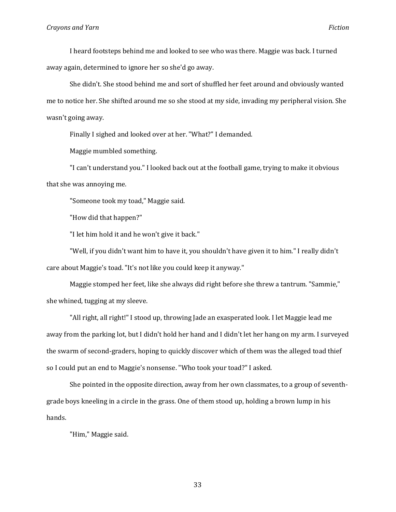I heard footsteps behind me and looked to see who was there. Maggie was back. I turned away again, determined to ignore her so she'd go away.

She didn't. She stood behind me and sort of shuffled her feet around and obviously wanted me to notice her. She shifted around me so she stood at my side, invading my peripheral vision. She wasn't going away.

Finally I sighed and looked over at her. "What?" I demanded.

Maggie mumbled something.

"I can't understand you." I looked back out at the football game, trying to make it obvious that she was annoying me.

"Someone took my toad," Maggie said.

"How did that happen?"

"I let him hold it and he won't give it back."

"Well, if you didn't want him to have it, you shouldn't have given it to him." I really didn't care about Maggie's toad. "It's not like you could keep it anyway."

Maggie stomped her feet, like she always did right before she threw a tantrum. "Sammie," she whined, tugging at my sleeve.

"All right, all right!" I stood up, throwing Jade an exasperated look. I let Maggie lead me away from the parking lot, but I didn't hold her hand and I didn't let her hang on my arm. I surveyed the swarm of second-graders, hoping to quickly discover which of them was the alleged toad thief so I could put an end to Maggie's nonsense. "Who took your toad?" I asked.

She pointed in the opposite direction, away from her own classmates, to a group of seventhgrade boys kneeling in a circle in the grass. One of them stood up, holding a brown lump in his hands.

"Him," Maggie said.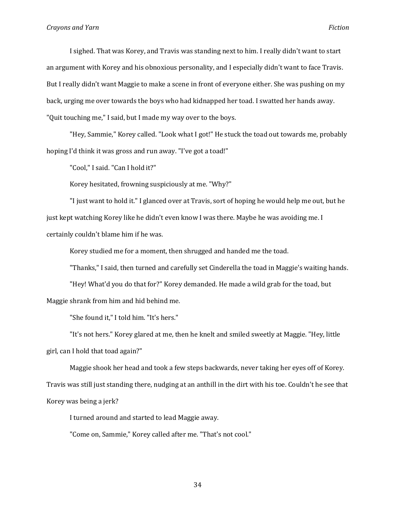I sighed. That was Korey, and Travis was standing next to him. I really didn't want to start an argument with Korey and his obnoxious personality, and I especially didn't want to face Travis. But I really didn't want Maggie to make a scene in front of everyone either. She was pushing on my back, urging me over towards the boys who had kidnapped her toad. I swatted her hands away. "Quit touching me," I said, but I made my way over to the boys.

"Hey, Sammie," Korey called. "Look what I got!" He stuck the toad out towards me, probably hoping I'd think it was gross and run away. "I've got a toad!"

"Cool," I said. "Can I hold it?"

Korey hesitated, frowning suspiciously at me. "Why?"

"I just want to hold it." I glanced over at Travis, sort of hoping he would help me out, but he just kept watching Korey like he didn't even know I was there. Maybe he was avoiding me. I certainly couldn't blame him if he was.

Korey studied me for a moment, then shrugged and handed me the toad.

"Thanks," I said, then turned and carefully set Cinderella the toad in Maggie's waiting hands.

"Hey! What'd you do that for?" Korey demanded. He made a wild grab for the toad, but Maggie shrank from him and hid behind me.

"She found it," I told him. "It's hers."

"It's not hers." Korey glared at me, then he knelt and smiled sweetly at Maggie. "Hey, little girl, can I hold that toad again?"

Maggie shook her head and took a few steps backwards, never taking her eyes off of Korey. Travis was still just standing there, nudging at an anthill in the dirt with his toe. Couldn't he see that Korey was being a jerk?

I turned around and started to lead Maggie away.

"Come on, Sammie," Korey called after me. "That's not cool."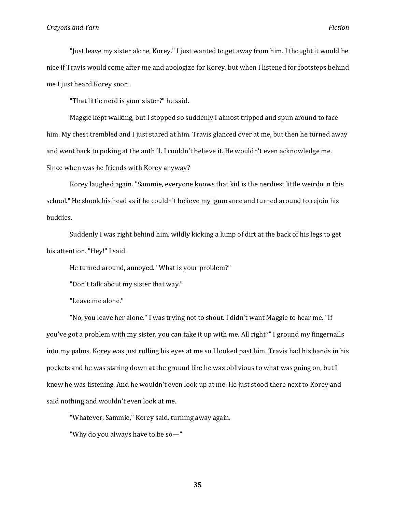"Just leave my sister alone, Korey." I just wanted to get away from him. I thought it would be nice if Travis would come after me and apologize for Korey, but when I listened for footsteps behind me I just heard Korey snort.

"That little nerd is your sister?" he said.

Maggie kept walking, but I stopped so suddenly I almost tripped and spun around to face him. My chest trembled and I just stared at him. Travis glanced over at me, but then he turned away and went back to poking at the anthill. I couldn't believe it. He wouldn't even acknowledge me. Since when was he friends with Korey anyway?

Korey laughed again. "Sammie, everyone knows that kid is the nerdiest little weirdo in this school." He shook his head as if he couldn't believe my ignorance and turned around to rejoin his buddies.

Suddenly I was right behind him, wildly kicking a lump of dirt at the back of his legs to get his attention. "Hey!" I said.

He turned around, annoyed. "What is your problem?"

"Don't talk about my sister that way."

"Leave me alone."

"No, you leave her alone." I was trying not to shout. I didn't want Maggie to hear me. "If you've got a problem with my sister, you can take it up with me. All right?" I ground my fingernails into my palms. Korey was just rolling his eyes at me so I looked past him. Travis had his hands in his pockets and he was staring down at the ground like he was oblivious to what was going on, but I knew he was listening. And he wouldn't even look up at me. He just stood there next to Korey and said nothing and wouldn't even look at me.

"Whatever, Sammie," Korey said, turning away again.

"Why do you always have to be so—"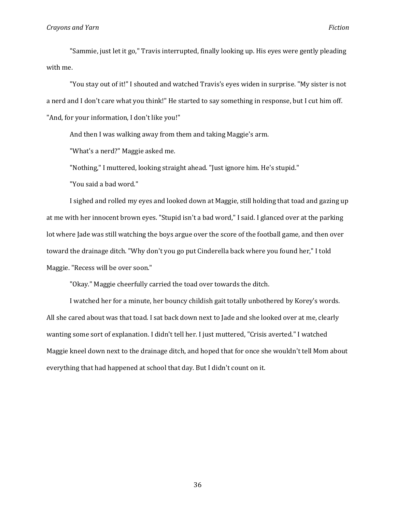"Sammie, just let it go," Travis interrupted, finally looking up. His eyes were gently pleading with me.

"You stay out of it!" I shouted and watched Travis's eyes widen in surprise. "My sister is not a nerd and I don't care what you think!" He started to say something in response, but I cut him off. "And, for your information, I don't like you!"

And then I was walking away from them and taking Maggie's arm.

"What's a nerd?" Maggie asked me.

"Nothing," I muttered, looking straight ahead. "Just ignore him. He's stupid."

"You said a bad word."

I sighed and rolled my eyes and looked down at Maggie, still holding that toad and gazing up at me with her innocent brown eyes. "Stupid isn't a bad word," I said. I glanced over at the parking lot where Jade was still watching the boys argue over the score of the football game, and then over toward the drainage ditch. "Why don't you go put Cinderella back where you found her," I told Maggie. "Recess will be over soon."

"Okay." Maggie cheerfully carried the toad over towards the ditch.

I watched her for a minute, her bouncy childish gait totally unbothered by Korey's words. All she cared about was that toad. I sat back down next to Jade and she looked over at me, clearly wanting some sort of explanation. I didn't tell her. I just muttered, "Crisis averted." I watched Maggie kneel down next to the drainage ditch, and hoped that for once she wouldn't tell Mom about everything that had happened at school that day. But I didn't count on it.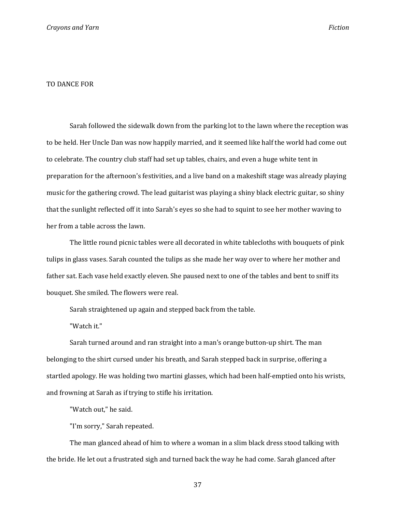#### TO DANCE FOR

Sarah followed the sidewalk down from the parking lot to the lawn where the reception was to be held. Her Uncle Dan was now happily married, and it seemed like half the world had come out to celebrate. The country club staff had set up tables, chairs, and even a huge white tent in preparation for the afternoon's festivities, and a live band on a makeshift stage was already playing music for the gathering crowd. The lead guitarist was playing a shiny black electric guitar, so shiny that the sunlight reflected off it into Sarah's eyes so she had to squint to see her mother waving to her from a table across the lawn.

The little round picnic tables were all decorated in white tablecloths with bouquets of pink tulips in glass vases. Sarah counted the tulips as she made her way over to where her mother and father sat. Each vase held exactly eleven. She paused next to one of the tables and bent to sniff its bouquet. She smiled. The flowers were real.

Sarah straightened up again and stepped back from the table.

"Watch it."

Sarah turned around and ran straight into a man's orange button-up shirt. The man belonging to the shirt cursed under his breath, and Sarah stepped back in surprise, offering a startled apology. He was holding two martini glasses, which had been half-emptied onto his wrists, and frowning at Sarah as if trying to stifle his irritation.

"Watch out," he said.

"I'm sorry," Sarah repeated.

The man glanced ahead of him to where a woman in a slim black dress stood talking with the bride. He let out a frustrated sigh and turned back the way he had come. Sarah glanced after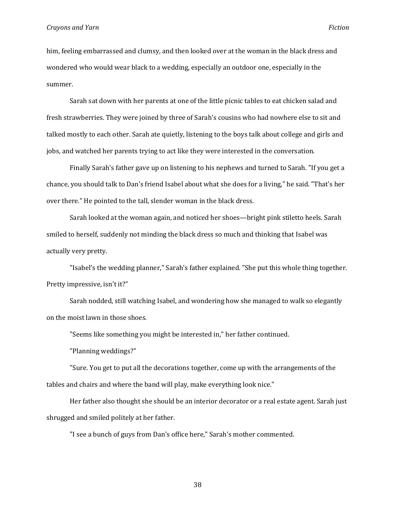him, feeling embarrassed and clumsy, and then looked over at the woman in the black dress and wondered who would wear black to a wedding, especially an outdoor one, especially in the summer.

Sarah sat down with her parents at one of the little picnic tables to eat chicken salad and fresh strawberries. They were joined by three of Sarah's cousins who had nowhere else to sit and talked mostly to each other. Sarah ate quietly, listening to the boys talk about college and girls and jobs, and watched her parents trying to act like they were interested in the conversation.

Finally Sarah's father gave up on listening to his nephews and turned to Sarah. "If you get a chance, you should talk to Dan's friend Isabel about what she does for a living," he said. "That's her over there." He pointed to the tall, slender woman in the black dress.

Sarah looked at the woman again, and noticed her shoes—bright pink stiletto heels. Sarah smiled to herself, suddenly not minding the black dress so much and thinking that Isabel was actually very pretty.

"Isabel's the wedding planner," Sarah's father explained. "She put this whole thing together. Pretty impressive, isn't it?"

Sarah nodded, still watching Isabel, and wondering how she managed to walk so elegantly on the moist lawn in those shoes.

"Seems like something you might be interested in," her father continued.

"Planning weddings?"

"Sure. You get to put all the decorations together, come up with the arrangements of the tables and chairs and where the band will play, make everything look nice."

Her father also thought she should be an interior decorator or a real estate agent. Sarah just shrugged and smiled politely at her father.

"I see a bunch of guys from Dan's office here," Sarah's mother commented.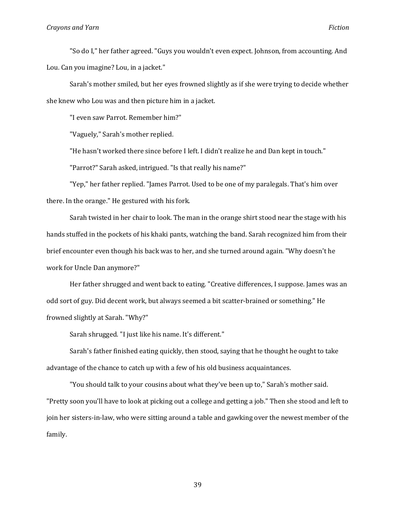"So do I," her father agreed. "Guys you wouldn't even expect. Johnson, from accounting. And Lou. Can you imagine? Lou, in a jacket."

Sarah's mother smiled, but her eyes frowned slightly as if she were trying to decide whether she knew who Lou was and then picture him in a jacket.

"I even saw Parrot. Remember him?"

"Vaguely," Sarah's mother replied.

"He hasn't worked there since before I left. I didn't realize he and Dan kept in touch."

"Parrot?" Sarah asked, intrigued. "Is that really his name?"

"Yep," her father replied. "James Parrot. Used to be one of my paralegals. That's him over there. In the orange." He gestured with his fork.

Sarah twisted in her chair to look. The man in the orange shirt stood near the stage with his hands stuffed in the pockets of his khaki pants, watching the band. Sarah recognized him from their brief encounter even though his back was to her, and she turned around again. "Why doesn't he work for Uncle Dan anymore?"

Her father shrugged and went back to eating. "Creative differences, I suppose. James was an odd sort of guy. Did decent work, but always seemed a bit scatter-brained or something." He frowned slightly at Sarah. "Why?"

Sarah shrugged. "I just like his name. It's different."

Sarah's father finished eating quickly, then stood, saying that he thought he ought to take advantage of the chance to catch up with a few of his old business acquaintances.

"You should talk to your cousins about what they've been up to," Sarah's mother said. "Pretty soon you'll have to look at picking out a college and getting a job." Then she stood and left to join her sisters-in-law, who were sitting around a table and gawking over the newest member of the family.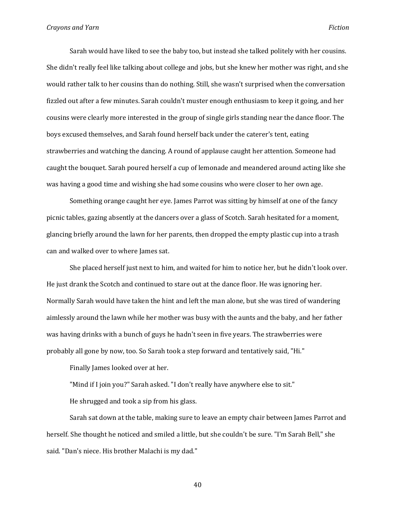Sarah would have liked to see the baby too, but instead she talked politely with her cousins. She didn't really feel like talking about college and jobs, but she knew her mother was right, and she would rather talk to her cousins than do nothing. Still, she wasn't surprised when the conversation fizzled out after a few minutes. Sarah couldn't muster enough enthusiasm to keep it going, and her cousins were clearly more interested in the group of single girls standing near the dance floor. The boys excused themselves, and Sarah found herself back under the caterer's tent, eating strawberries and watching the dancing. A round of applause caught her attention. Someone had caught the bouquet. Sarah poured herself a cup of lemonade and meandered around acting like she was having a good time and wishing she had some cousins who were closer to her own age.

Something orange caught her eye. James Parrot was sitting by himself at one of the fancy picnic tables, gazing absently at the dancers over a glass of Scotch. Sarah hesitated for a moment, glancing briefly around the lawn for her parents, then dropped the empty plastic cup into a trash can and walked over to where James sat.

She placed herself just next to him, and waited for him to notice her, but he didn't look over. He just drank the Scotch and continued to stare out at the dance floor. He was ignoring her. Normally Sarah would have taken the hint and left the man alone, but she was tired of wandering aimlessly around the lawn while her mother was busy with the aunts and the baby, and her father was having drinks with a bunch of guys he hadn't seen in five years. The strawberries were probably all gone by now, too. So Sarah took a step forward and tentatively said, "Hi."

Finally James looked over at her.

"Mind if I join you?" Sarah asked. "I don't really have anywhere else to sit." He shrugged and took a sip from his glass.

Sarah sat down at the table, making sure to leave an empty chair between James Parrot and herself. She thought he noticed and smiled a little, but she couldn't be sure. "I'm Sarah Bell," she said. "Dan's niece. His brother Malachi is my dad."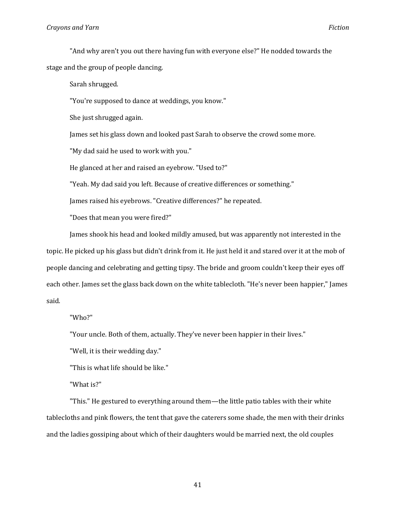#### **Crayons and Yarn Fiction**

"And why aren't you out there having fun with everyone else?" He nodded towards the stage and the group of people dancing.

Sarah shrugged.

"You're supposed to dance at weddings, you know."

She just shrugged again.

James set his glass down and looked past Sarah to observe the crowd some more.

"My dad said he used to work with you."

He glanced at her and raised an eyebrow. "Used to?"

"Yeah. My dad said you left. Because of creative differences or something."

James raised his eyebrows. "Creative differences?" he repeated.

"Does that mean you were fired?"

James shook his head and looked mildly amused, but was apparently not interested in the topic. He picked up his glass but didn't drink from it. He just held it and stared over it at the mob of people dancing and celebrating and getting tipsy. The bride and groom couldn't keep their eyes off each other. James set the glass back down on the white tablecloth. "He's never been happier," James said.

"Who?"

"Your uncle. Both of them, actually. They've never been happier in their lives."

"Well, it is their wedding day."

"This is what life should be like."

"What is?"

"This." He gestured to everything around them—the little patio tables with their white tablecloths and pink flowers, the tent that gave the caterers some shade, the men with their drinks and the ladies gossiping about which of their daughters would be married next, the old couples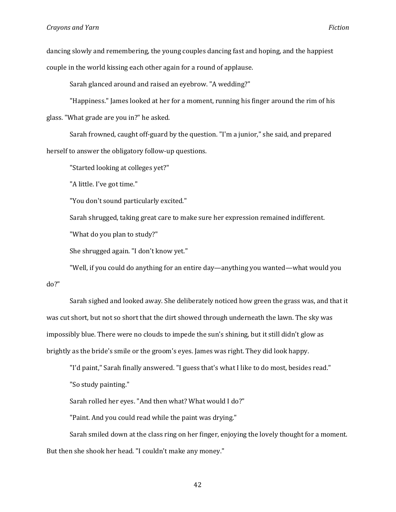dancing slowly and remembering, the young couples dancing fast and hoping, and the happiest couple in the world kissing each other again for a round of applause.

Sarah glanced around and raised an eyebrow. "A wedding?"

"Happiness." James looked at her for a moment, running his finger around the rim of his glass. "What grade are you in?" he asked.

Sarah frowned, caught off-guard by the question. "I'm a junior," she said, and prepared herself to answer the obligatory follow-up questions.

"Started looking at colleges yet?"

"A little. I've got time."

"You don't sound particularly excited."

Sarah shrugged, taking great care to make sure her expression remained indifferent.

"What do you plan to study?"

She shrugged again. "I don't know yet."

"Well, if you could do anything for an entire day—anything you wanted—what would you do?"

Sarah sighed and looked away. She deliberately noticed how green the grass was, and that it was cut short, but not so short that the dirt showed through underneath the lawn. The sky was impossibly blue. There were no clouds to impede the sun's shining, but it still didn't glow as brightly as the bride's smile or the groom's eyes. James was right. They did look happy.

"I'd paint," Sarah finally answered. "I guess that's what I like to do most, besides read."

"So study painting."

Sarah rolled her eyes. "And then what? What would I do?"

"Paint. And you could read while the paint was drying."

Sarah smiled down at the class ring on her finger, enjoying the lovely thought for a moment. But then she shook her head. "I couldn't make any money."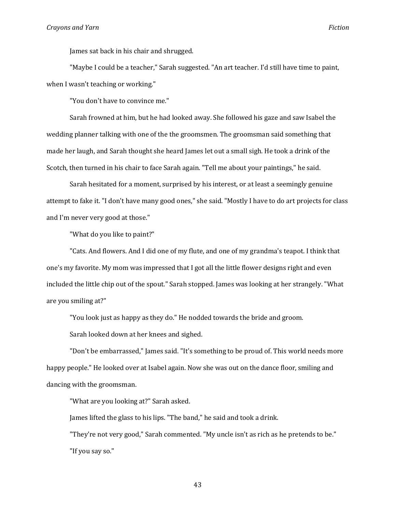James sat back in his chair and shrugged.

"Maybe I could be a teacher," Sarah suggested. "An art teacher. I'd still have time to paint, when I wasn't teaching or working."

"You don't have to convince me."

Sarah frowned at him, but he had looked away. She followed his gaze and saw Isabel the wedding planner talking with one of the the groomsmen. The groomsman said something that made her laugh, and Sarah thought she heard James let out a small sigh. He took a drink of the Scotch, then turned in his chair to face Sarah again. "Tell me about your paintings," he said.

Sarah hesitated for a moment, surprised by his interest, or at least a seemingly genuine attempt to fake it. "I don't have many good ones," she said. "Mostly I have to do art projects for class and I'm never very good at those."

"What do you like to paint?"

"Cats. And flowers. And I did one of my flute, and one of my grandma's teapot. I think that one's my favorite. My mom was impressed that I got all the little flower designs right and even included the little chip out of the spout." Sarah stopped. James was looking at her strangely. "What are you smiling at?"

"You look just as happy as they do." He nodded towards the bride and groom.

Sarah looked down at her knees and sighed.

"Don't be embarrassed," James said. "It's something to be proud of. This world needs more happy people." He looked over at Isabel again. Now she was out on the dance floor, smiling and dancing with the groomsman.

"What are you looking at?" Sarah asked.

James lifted the glass to his lips. "The band," he said and took a drink.

"They're not very good," Sarah commented. "My uncle isn't as rich as he pretends to be." "If you say so."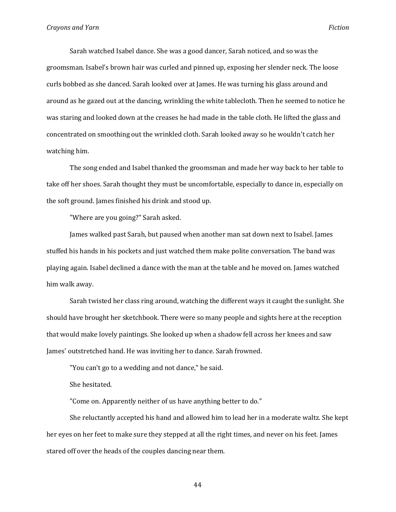Sarah watched Isabel dance. She was a good dancer, Sarah noticed, and so was the groomsman. Isabel's brown hair was curled and pinned up, exposing her slender neck. The loose curls bobbed as she danced. Sarah looked over at James. He was turning his glass around and around as he gazed out at the dancing, wrinkling the white tablecloth. Then he seemed to notice he was staring and looked down at the creases he had made in the table cloth. He lifted the glass and concentrated on smoothing out the wrinkled cloth. Sarah looked away so he wouldn't catch her watching him.

The song ended and Isabel thanked the groomsman and made her way back to her table to take off her shoes. Sarah thought they must be uncomfortable, especially to dance in, especially on the soft ground. James finished his drink and stood up.

"Where are you going?" Sarah asked.

James walked past Sarah, but paused when another man sat down next to Isabel. James stuffed his hands in his pockets and just watched them make polite conversation. The band was playing again. Isabel declined a dance with the man at the table and he moved on. James watched him walk away.

Sarah twisted her class ring around, watching the different ways it caught the sunlight. She should have brought her sketchbook. There were so many people and sights here at the reception that would make lovely paintings. She looked up when a shadow fell across her knees and saw James' outstretched hand. He was inviting her to dance. Sarah frowned.

"You can't go to a wedding and not dance," he said.

She hesitated.

"Come on. Apparently neither of us have anything better to do."

She reluctantly accepted his hand and allowed him to lead her in a moderate waltz. She kept her eyes on her feet to make sure they stepped at all the right times, and never on his feet. James stared off over the heads of the couples dancing near them.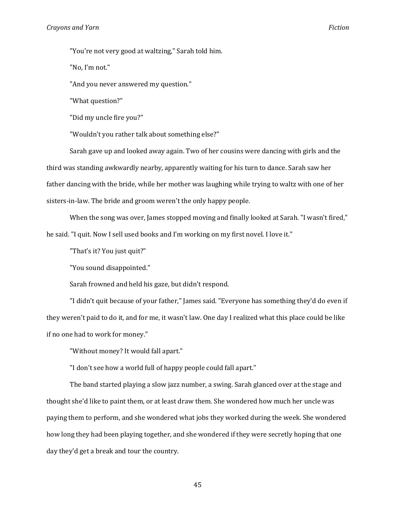"You're not very good at waltzing," Sarah told him.

"No, I'm not."

"And you never answered my question."

"What question?"

"Did my uncle fire you?"

"Wouldn't you rather talk about something else?"

Sarah gave up and looked away again. Two of her cousins were dancing with girls and the third was standing awkwardly nearby, apparently waiting for his turn to dance. Sarah saw her father dancing with the bride, while her mother was laughing while trying to waltz with one of her sisters-in-law. The bride and groom weren't the only happy people.

When the song was over, James stopped moving and finally looked at Sarah. "I wasn't fired," he said. "I quit. Now I sell used books and I'm working on my first novel. I love it."

"That's it? You just quit?"

"You sound disappointed."

Sarah frowned and held his gaze, but didn't respond.

"I didn't quit because of your father," James said. "Everyone has something they'd do even if they weren't paid to do it, and for me, it wasn't law. One day I realized what this place could be like if no one had to work for money."

"Without money? It would fall apart."

"I don't see how a world full of happy people could fall apart."

The band started playing a slow jazz number, a swing. Sarah glanced over at the stage and thought she'd like to paint them, or at least draw them. She wondered how much her uncle was paying them to perform, and she wondered what jobs they worked during the week. She wondered how long they had been playing together, and she wondered if they were secretly hoping that one day they'd get a break and tour the country.